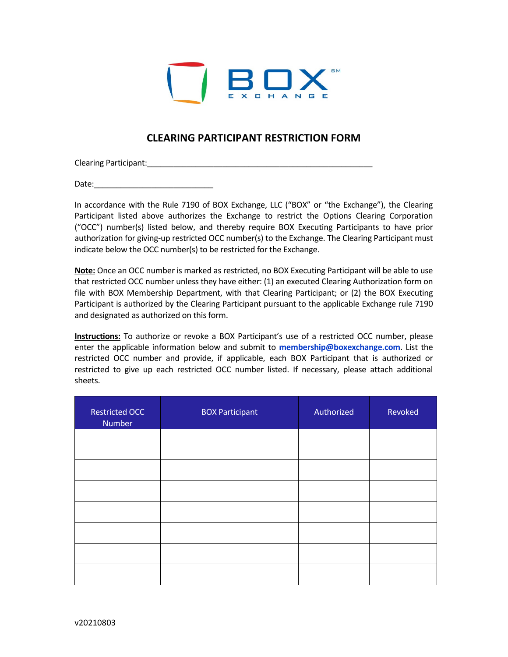

## **CLEARING PARTICIPANT RESTRICTION FORM**

Clearing Participant:\_\_\_\_\_\_\_\_\_\_\_\_\_\_\_\_\_\_\_\_\_\_\_\_\_\_\_\_\_\_\_\_\_\_\_\_\_\_\_\_\_\_\_\_\_\_\_\_\_\_\_

Date:

In accordance with the Rule 7190 of BOX Exchange, LLC ("BOX" or "the Exchange"), the Clearing Participant listed above authorizes the Exchange to restrict the Options Clearing Corporation ("OCC") number(s) listed below, and thereby require BOX Executing Participants to have prior authorization for giving-up restricted OCC number(s) to the Exchange. The Clearing Participant must indicate below the OCC number(s) to be restricted for the Exchange.

**Note:** Once an OCC number is marked as restricted, no BOX Executing Participant will be able to use that restricted OCC number unless they have either: (1) an executed Clearing Authorization form on file with BOX Membership Department, with that Clearing Participant; or (2) the BOX Executing Participant is authorized by the Clearing Participant pursuant to the applicable Exchange rule 7190 and designated as authorized on this form.

**Instructions:** To authorize or revoke a BOX Participant's use of a restricted OCC number, please enter the applicable information below and submit to **[membership@boxexchange.com](mailto:membership@boxexchange.com)**. List the restricted OCC number and provide, if applicable, each BOX Participant that is authorized or restricted to give up each restricted OCC number listed. If necessary, please attach additional sheets.

| <b>Restricted OCC</b><br>Number | <b>BOX Participant</b> | Authorized | Revoked |
|---------------------------------|------------------------|------------|---------|
|                                 |                        |            |         |
|                                 |                        |            |         |
|                                 |                        |            |         |
|                                 |                        |            |         |
|                                 |                        |            |         |
|                                 |                        |            |         |
|                                 |                        |            |         |